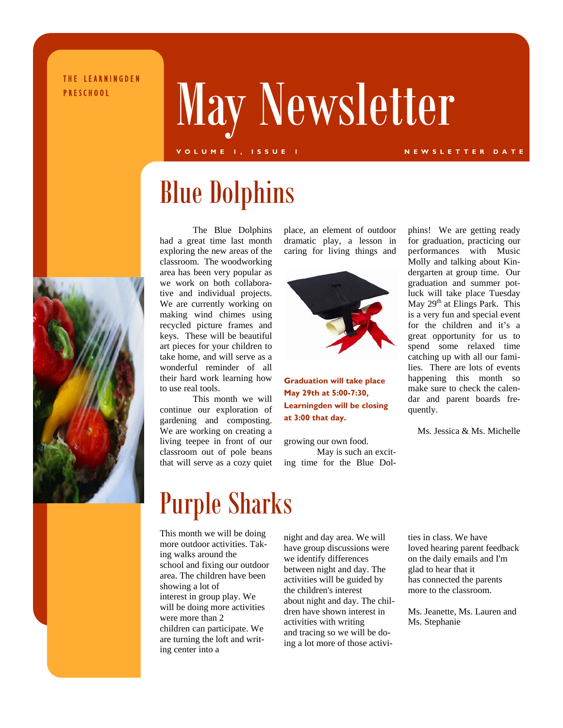THE LEARNINGDEN

# PRESCHOOL May Newsletter

### **VOLUME 1, ISSUE 1 NEWSLETTER DATE**

phins! We are getting ready for graduation, practicing our performances with Music Molly and talking about Kindergarten at group time. Our graduation and summer pot-

## Blue Dolphins

The Blue Dolphins had a great time last month exploring the new areas of the classroom. The woodworking area has been very popular as we work on both collaborative and individual projects. We are currently working on making wind chimes using recycled picture frames and keys. These will be beautiful art pieces for your children to take home, and will serve as a wonderful reminder of all their hard work learning how to use real tools.

This month we will continue our exploration of gardening and composting. We are working on creating a living teepee in front of our classroom out of pole beans that will serve as a cozy quiet

place, an element of outdoor dramatic play, a lesson in caring for living things and



**Graduation will take place May 29th at 5:00-7:30, Learningden will be closing at 3:00 that day.** 

growing our own food.

May is such an exciting time for the Blue Dol-

### luck will take place Tuesday May  $29<sup>th</sup>$  at Elings Park. This is a very fun and special event for the children and it's a great opportunity for us to spend some relaxed time catching up with all our families. There are lots of events happening this month so make sure to check the calendar and parent boards frequently.

Ms. Jessica & Ms. Michelle

## Purple Sharks

This month we will be doing more outdoor activities. Taking walks around the school and fixing our outdoor area. The children have been showing a lot of interest in group play. We will be doing more activities were more than 2 children can participate. We are turning the loft and writing center into a

night and day area. We will have group discussions were we identify differences between night and day. The activities will be guided by the children's interest about night and day. The children have shown interest in activities with writing and tracing so we will be doing a lot more of those activi-

ties in class. We have loved hearing parent feedback on the daily emails and I'm glad to hear that it has connected the parents more to the classroom.

Ms. Jeanette, Ms. Lauren and Ms. Stephanie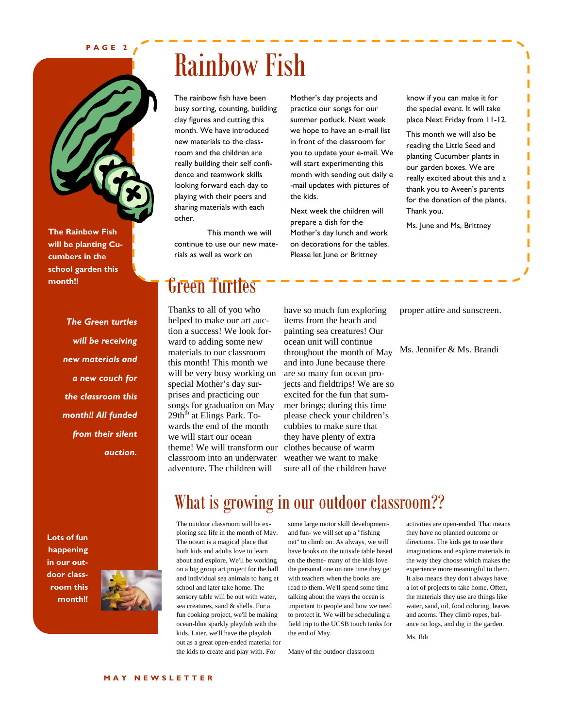**PAGE 2** 

*The Green turtles* 

**The Rainbow Fish will be planting Cucumbers in the school garden this** 

*will be receiving* 

*a new couch for* 

*new materials and* 

*the classroom this month!! All funded* 

*from their silent* 

*auction.* 

## Rainbow Fish

The rainbow fish have been busy sorting, counting, building clay figures and cutting this month. We have introduced new materials to the classroom and the children are really building their self confidence and teamwork skills looking forward each day to playing with their peers and sharing materials with each other.

 This month we will continue to use our new materials as well as work on

month!! **Creen Turtles** 

Thanks to all of you who helped to make our art auction a success! We look forward to adding some new materials to our classroom this month! This month we will be very busy working on special Mother's day surprises and practicing our songs for graduation on May  $29th<sup>th</sup>$  at Elings Park. Towards the end of the month we will start our ocean theme! We will transform our classroom into an underwater adventure. The children will

have so much fun exploring items from the beach and painting sea creatures! Our ocean unit will continue throughout the month of May Ms. Jennifer  $\&$  Ms. Brandi and into June because there are so many fun ocean projects and fieldtrips! We are so excited for the fun that summer brings; during this time please check your children's cubbies to make sure that they have plenty of extra clothes because of warm weather we want to make sure all of the children have

Mother's day projects and practice our songs for our summer potluck. Next week we hope to have an e-mail list in front of the classroom for you to update your e-mail. We will start experimenting this month with sending out daily e -mail updates with pictures of

Next week the children will prepare a dish for the Mother's day lunch and work on decorations for the tables. Please let June or Brittney

the kids.

know if you can make it for the special event. It will take place Next Friday from 11-12.

This month we will also be reading the Little Seed and planting Cucumber plants in our garden boxes. We are really excited about this and a thank you to Aveen's parents for the donation of the plants. Thank you,

Ms. June and Ms, Brittney

proper attire and sunscreen.

**Lots of fun happening in our outdoor classroom this month!!** 



### What is growing in our outdoor classroom??

The outdoor classroom will be exploring sea life in the month of May. The ocean is a magical place that both kids and adults love to learn about and explore. We'll be working on a big group art project for the hall and individual sea animals to hang at school and later take home. The sensory table will be out with water, sea creatures, sand & shells. For a fun cooking project, we'll be making ocean-blue sparkly playdoh with the kids. Later, we'll have the playdoh out as a great open-ended material for the kids to create and play with. For

some large motor skill developmentand fun- we will set up a "fishing net" to climb on. As always, we will have books on the outside table based on the theme- many of the kids love the personal one on one time they get with teachers when the books are read to them. We'll spend some time talking about the ways the ocean is important to people and how we need to protect it. We will be scheduling a field trip to the UCSB touch tanks for the end of May.

Many of the outdoor classroom

activities are open-ended. That means they have no planned outcome or directions. The kids get to use their imaginations and explore materials in the way they choose which makes the experience more meaningful to them. It also means they don't always have a lot of projects to take home. Often, the materials they use are things like water, sand, oil, food coloring, leaves and acorns. They climb ropes, balance on logs, and dig in the garden. Ms. Ildi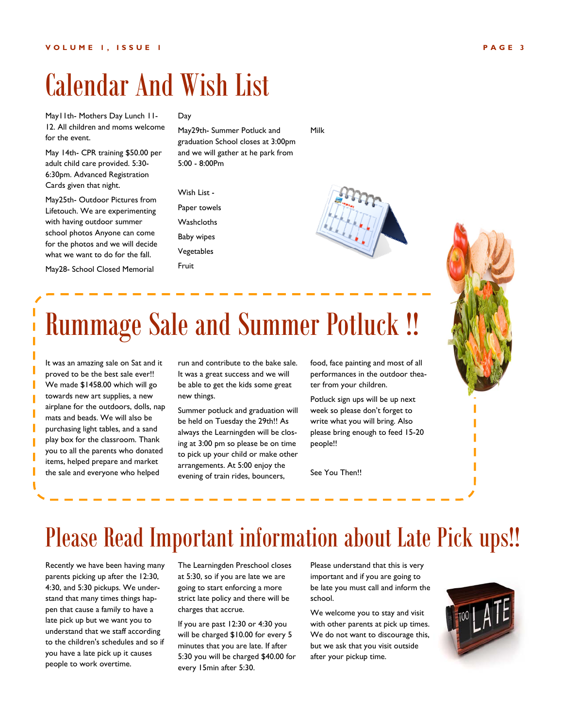## Calendar And Wish List

May11th- Mothers Day Lunch 11- 12. All children and moms welcome for the event.

May 14th- CPR training \$50.00 per adult child care provided. 5:30- 6:30pm. Advanced Registration Cards given that night.

May25th- Outdoor Pictures from Lifetouch. We are experimenting with having outdoor summer school photos Anyone can come for the photos and we will decide what we want to do for the fall.

May28- School Closed Memorial

It was an amazing sale on Sat and it proved to be the best sale ever!! We made \$1458.00 which will go towards new art supplies, a new airplane for the outdoors, dolls, nap mats and beads. We will also be purchasing light tables, and a sand play box for the classroom. Thank you to all the parents who donated items, helped prepare and market the sale and everyone who helped

#### Day

May29th- Summer Potluck and graduation School closes at 3:00pm and we will gather at he park from 5:00 - 8:00Pm

run and contribute to the bake sale. It was a great success and we will be able to get the kids some great

Summer potluck and graduation will be held on Tuesday the 29th!! As always the Learningden will be closing at 3:00 pm so please be on time to pick up your child or make other arrangements. At 5:00 enjoy the evening of train rides, bouncers,

Wish List - Paper towels **Washcloths** Baby wipes Vegetables Fruit

new things.

Milk



## food, face painting and most of all performances in the outdoor theater from your children. Rummage Sale and Summer Potluck !!

Potluck sign ups will be up next week so please don't forget to write what you will bring. Also please bring enough to feed 15-20 people!!

See You Then!!



### Please Read Important information about Late Pick ups!!

Recently we have been having many parents picking up after the 12:30, 4:30, and 5:30 pickups. We understand that many times things happen that cause a family to have a late pick up but we want you to understand that we staff according to the children's schedules and so if you have a late pick up it causes people to work overtime.

The Learningden Preschool closes at 5:30, so if you are late we are going to start enforcing a more strict late policy and there will be charges that accrue.

If you are past 12:30 or 4:30 you will be charged \$10.00 for every 5 minutes that you are late. If after 5:30 you will be charged \$40.00 for every 15min after 5:30.

Please understand that this is very important and if you are going to be late you must call and inform the school.

We welcome you to stay and visit with other parents at pick up times. We do not want to discourage this, but we ask that you visit outside after your pickup time.